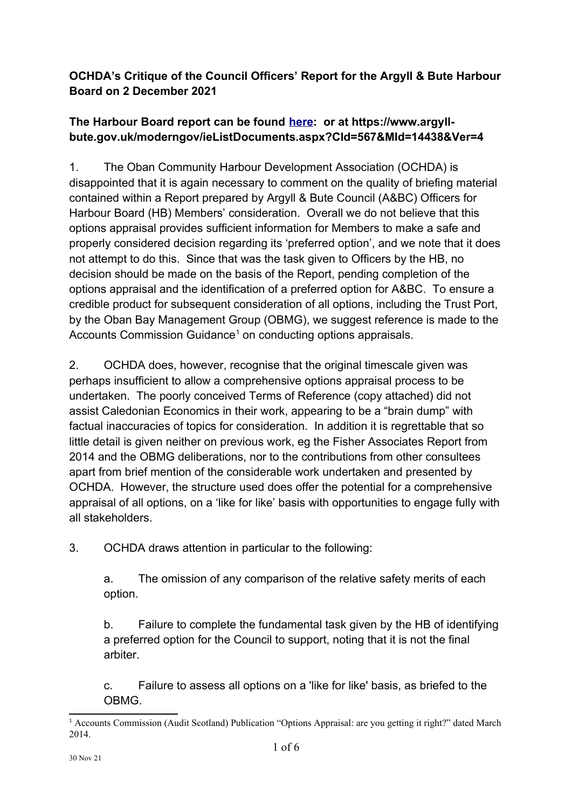## **OCHDA's Critique of the Council Officers' Report for the Argyll & Bute Harbour Board on 2 December 2021**

## **The Harbour Board report can be found [here](https://www.argyll-bute.gov.uk/moderngov/documents/g14434/Public%20reports%20pack%20Thursday%2002-Dec-2021%2012.30%20Argyll%20and%20Bute%20Harbour%20Board.pdf?T=10): or at https://www.argyllbute.gov.uk/moderngov/ieListDocuments.aspx?CId=567&MId=14438&Ver=4**

1. The Oban Community Harbour Development Association (OCHDA) is disappointed that it is again necessary to comment on the quality of briefing material contained within a Report prepared by Argyll & Bute Council (A&BC) Officers for Harbour Board (HB) Members' consideration. Overall we do not believe that this options appraisal provides sufficient information for Members to make a safe and properly considered decision regarding its 'preferred option', and we note that it does not attempt to do this. Since that was the task given to Officers by the HB, no decision should be made on the basis of the Report, pending completion of the options appraisal and the identification of a preferred option for A&BC. To ensure a credible product for subsequent consideration of all options, including the Trust Port, by the Oban Bay Management Group (OBMG), we suggest reference is made to the Accounts Commission Guidance<sup>[1](#page-0-0)</sup> on conducting options appraisals.

2. OCHDA does, however, recognise that the original timescale given was perhaps insufficient to allow a comprehensive options appraisal process to be undertaken. The poorly conceived Terms of Reference (copy attached) did not assist Caledonian Economics in their work, appearing to be a "brain dump" with factual inaccuracies of topics for consideration. In addition it is regrettable that so little detail is given neither on previous work, eg the Fisher Associates Report from 2014 and the OBMG deliberations, nor to the contributions from other consultees apart from brief mention of the considerable work undertaken and presented by OCHDA. However, the structure used does offer the potential for a comprehensive appraisal of all options, on a 'like for like' basis with opportunities to engage fully with all stakeholders.

3. OCHDA draws attention in particular to the following:

a. The omission of any comparison of the relative safety merits of each option.

b. Failure to complete the fundamental task given by the HB of identifying a preferred option for the Council to support, noting that it is not the final arbiter.

c. Failure to assess all options on a 'like for like' basis, as briefed to the **OBMG** 

<span id="page-0-0"></span><sup>1</sup> Accounts Commission (Audit Scotland) Publication "Options Appraisal: are you getting it right?" dated March 2014.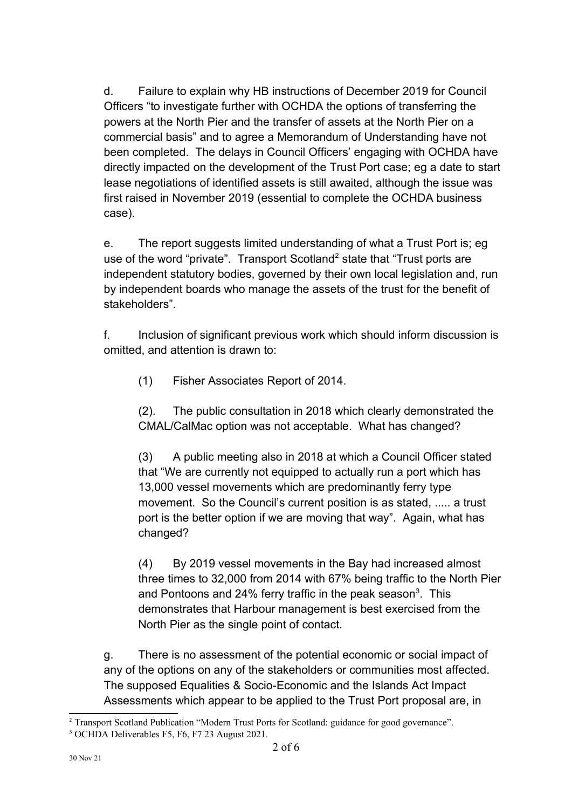d. Failure to explain why HB instructions of December 2019 for Council Officers "to investigate further with OCHDA the options of transferring the powers at the North Pier and the transfer of assets at the North Pier on a commercial basis" and to agree a Memorandum of Understanding have not been completed. The delays in Council Officers' engaging with OCHDA have directly impacted on the development of the Trust Port case; eg a date to start lease negotiations of identified assets is still awaited, although the issue was first raised in November 2019 (essential to complete the OCHDA business case).

e. The report suggests limited understanding of what a Trust Port is; eg use of the word "private". Transport Scotland<sup>[2](#page-1-0)</sup> state that "Trust ports are independent statutory bodies, governed by their own local legislation and, run by independent boards who manage the assets of the trust for the benefit of stakeholders".

f. Inclusion of significant previous work which should inform discussion is omitted, and attention is drawn to:

(1) Fisher Associates Report of 2014.

(2). The public consultation in 2018 which clearly demonstrated the CMAL/CalMac option was not acceptable. What has changed?

(3) A public meeting also in 2018 at which a Council Officer stated that "We are currently not equipped to actually run a port which has 13,000 vessel movements which are predominantly ferry type movement. So the Council's current position is as stated, ..... a trust port is the better option if we are moving that way". Again, what has changed?

(4) By 2019 vessel movements in the Bay had increased almost three times to 32,000 from 2014 with 67% being traffic to the North Pier and Pontoons and 24% ferry traffic in the peak season<sup>[3](#page-1-1)</sup>. This demonstrates that Harbour management is best exercised from the North Pier as the single point of contact.

g. There is no assessment of the potential economic or social impact of any of the options on any of the stakeholders or communities most affected. The supposed Equalities & Socio-Economic and the Islands Act Impact Assessments which appear to be applied to the Trust Port proposal are, in

<span id="page-1-0"></span><sup>&</sup>lt;sup>2</sup> Transport Scotland Publication "Modern Trust Ports for Scotland: guidance for good governance".

<span id="page-1-1"></span><sup>3</sup> OCHDA Deliverables F5, F6, F7 23 August 2021.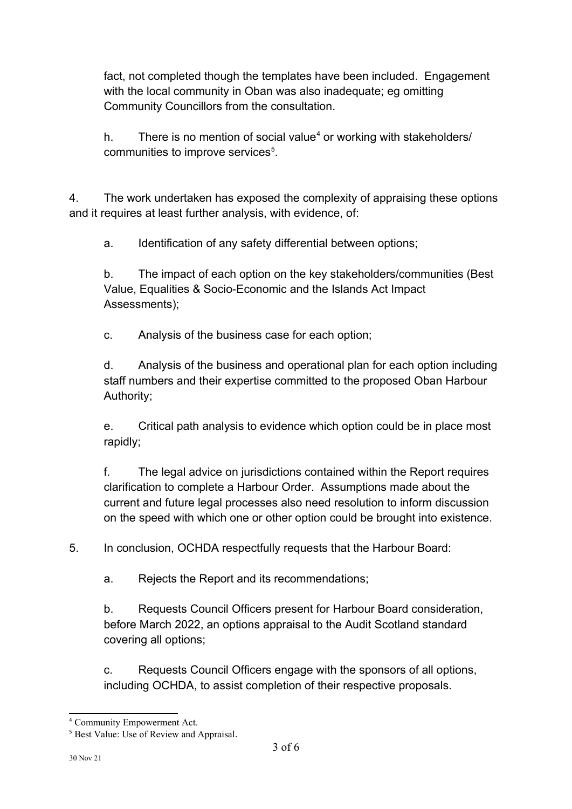fact, not completed though the templates have been included. Engagement with the local community in Oban was also inadequate; eg omitting Community Councillors from the consultation.

h. There is no mention of social value<sup>[4](#page-2-0)</sup> or working with stakeholders/ communities to improve services<sup>[5](#page-2-1)</sup>.

4. The work undertaken has exposed the complexity of appraising these options and it requires at least further analysis, with evidence, of:

a. Identification of any safety differential between options;

b. The impact of each option on the key stakeholders/communities (Best Value, Equalities & Socio-Economic and the Islands Act Impact Assessments);

c. Analysis of the business case for each option;

d. Analysis of the business and operational plan for each option including staff numbers and their expertise committed to the proposed Oban Harbour Authority;

e. Critical path analysis to evidence which option could be in place most rapidly;

f. The legal advice on jurisdictions contained within the Report requires clarification to complete a Harbour Order. Assumptions made about the current and future legal processes also need resolution to inform discussion on the speed with which one or other option could be brought into existence.

5. In conclusion, OCHDA respectfully requests that the Harbour Board:

a. Rejects the Report and its recommendations;

b. Requests Council Officers present for Harbour Board consideration, before March 2022, an options appraisal to the Audit Scotland standard covering all options;

c. Requests Council Officers engage with the sponsors of all options, including OCHDA, to assist completion of their respective proposals.

<span id="page-2-0"></span><sup>4</sup> Community Empowerment Act.

<span id="page-2-1"></span><sup>&</sup>lt;sup>5</sup> Best Value: Use of Review and Appraisal.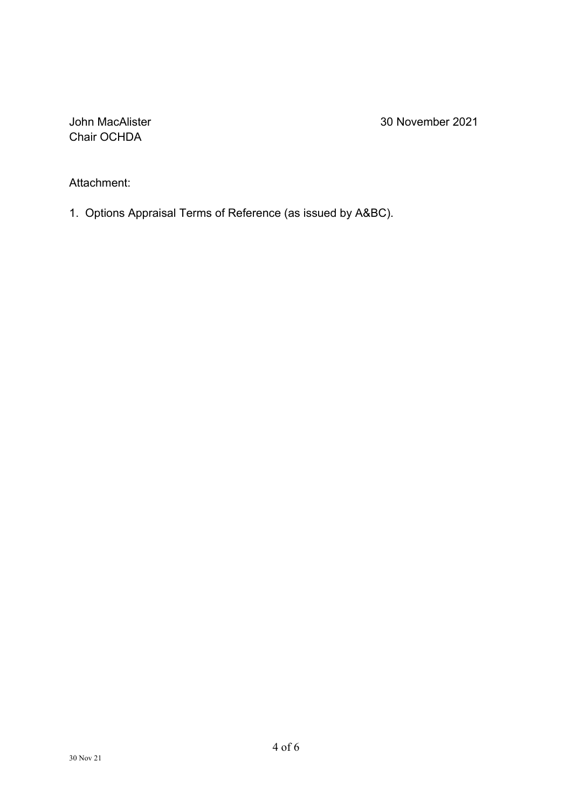Chair OCHDA

John MacAlister 30 November 2021

Attachment:

1. Options Appraisal Terms of Reference (as issued by A&BC).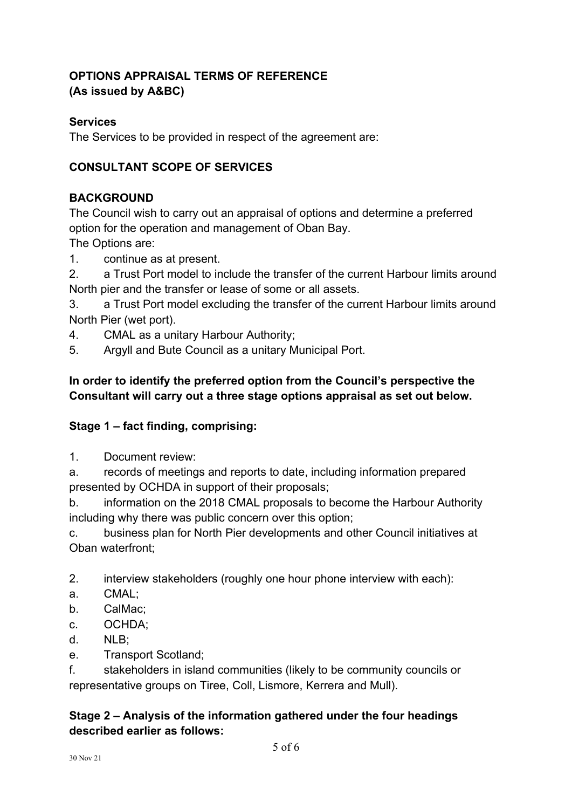## **OPTIONS APPRAISAL TERMS OF REFERENCE (As issued by A&BC)**

#### **Services**

The Services to be provided in respect of the agreement are:

#### **CONSULTANT SCOPE OF SERVICES**

#### **BACKGROUND**

The Council wish to carry out an appraisal of options and determine a preferred option for the operation and management of Oban Bay.

The Options are:

- 1. continue as at present.
- 2. a Trust Port model to include the transfer of the current Harbour limits around North pier and the transfer or lease of some or all assets.
- 3. a Trust Port model excluding the transfer of the current Harbour limits around North Pier (wet port).
- 4. CMAL as a unitary Harbour Authority;
- 5. Argyll and Bute Council as a unitary Municipal Port.

## **In order to identify the preferred option from the Council's perspective the Consultant will carry out a three stage options appraisal as set out below.**

## **Stage 1 – fact finding, comprising:**

1. Document review:

a. records of meetings and reports to date, including information prepared presented by OCHDA in support of their proposals;

b. information on the 2018 CMAL proposals to become the Harbour Authority including why there was public concern over this option;

c. business plan for North Pier developments and other Council initiatives at Oban waterfront;

2. interview stakeholders (roughly one hour phone interview with each):

- a. CMAL;
- b. CalMac;
- c. OCHDA;
- d. NLB;
- e. Transport Scotland;

f. stakeholders in island communities (likely to be community councils or representative groups on Tiree, Coll, Lismore, Kerrera and Mull).

## **Stage 2 – Analysis of the information gathered under the four headings described earlier as follows:**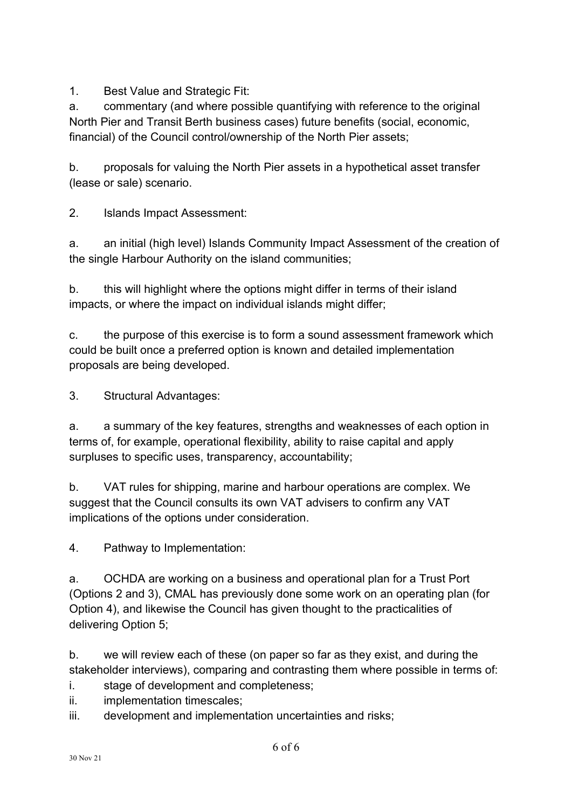1. Best Value and Strategic Fit:

a. commentary (and where possible quantifying with reference to the original North Pier and Transit Berth business cases) future benefits (social, economic, financial) of the Council control/ownership of the North Pier assets;

b. proposals for valuing the North Pier assets in a hypothetical asset transfer (lease or sale) scenario.

2. Islands Impact Assessment:

a. an initial (high level) Islands Community Impact Assessment of the creation of the single Harbour Authority on the island communities;

b. this will highlight where the options might differ in terms of their island impacts, or where the impact on individual islands might differ;

c. the purpose of this exercise is to form a sound assessment framework which could be built once a preferred option is known and detailed implementation proposals are being developed.

3. Structural Advantages:

a. a summary of the key features, strengths and weaknesses of each option in terms of, for example, operational flexibility, ability to raise capital and apply surpluses to specific uses, transparency, accountability;

b. VAT rules for shipping, marine and harbour operations are complex. We suggest that the Council consults its own VAT advisers to confirm any VAT implications of the options under consideration.

4. Pathway to Implementation:

a. OCHDA are working on a business and operational plan for a Trust Port (Options 2 and 3), CMAL has previously done some work on an operating plan (for Option 4), and likewise the Council has given thought to the practicalities of delivering Option 5;

b. we will review each of these (on paper so far as they exist, and during the stakeholder interviews), comparing and contrasting them where possible in terms of:

- i. stage of development and completeness;
- ii. implementation timescales;
- iii. development and implementation uncertainties and risks;